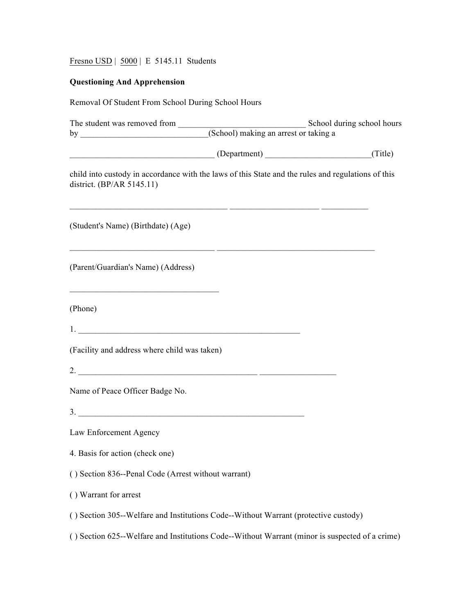Fresno USD | 5000 | E 5145.11 Students

## **Questioning And Apprehension**

| Removal Of Student From School During School Hours                                                                                                         |  |
|------------------------------------------------------------------------------------------------------------------------------------------------------------|--|
|                                                                                                                                                            |  |
| (Department) (Department) (Title)                                                                                                                          |  |
| child into custody in accordance with the laws of this State and the rules and regulations of this<br>district. (BP/AR 5145.11)                            |  |
| <u> 1999 - Jacques Alexandro III, poet e alexandro de la contrada de la contrada de la contrada de la contrada d</u><br>(Student's Name) (Birthdate) (Age) |  |
| <u> 2000 - Jan James James Barnett, amerikansk politik (d. 1982)</u><br>(Parent/Guardian's Name) (Address)                                                 |  |
| (Phone)                                                                                                                                                    |  |
|                                                                                                                                                            |  |
| (Facility and address where child was taken)                                                                                                               |  |
|                                                                                                                                                            |  |
| Name of Peace Officer Badge No.                                                                                                                            |  |
|                                                                                                                                                            |  |
| Law Enforcement Agency                                                                                                                                     |  |
| 4. Basis for action (check one)                                                                                                                            |  |
| () Section 836--Penal Code (Arrest without warrant)                                                                                                        |  |
| () Warrant for arrest                                                                                                                                      |  |
| () Section 305--Welfare and Institutions Code--Without Warrant (protective custody)                                                                        |  |
| () Section 625--Welfare and Institutions Code--Without Warrant (minor is suspected of a crime)                                                             |  |